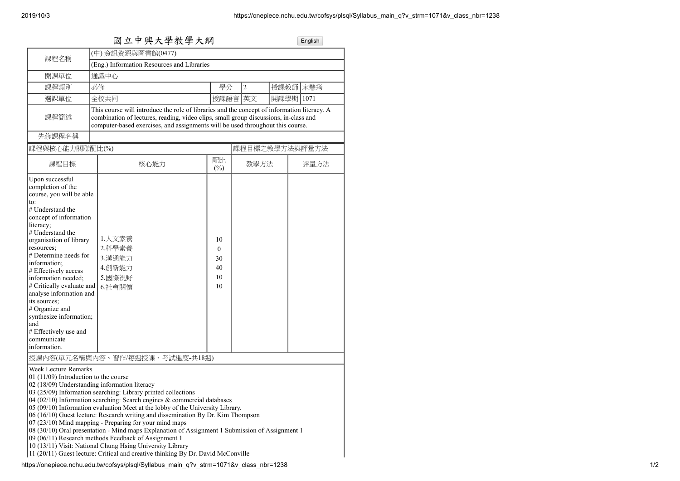| 國立中興大學教學大綱                                                                                                                                                                                                                                                                                                                                                                                                                                                                  |                                                                                                                                                                                                                                                                                                                                                                                                                                                                                                                                                                                                                                                                                                                            |                                 |                |           | English |  |
|-----------------------------------------------------------------------------------------------------------------------------------------------------------------------------------------------------------------------------------------------------------------------------------------------------------------------------------------------------------------------------------------------------------------------------------------------------------------------------|----------------------------------------------------------------------------------------------------------------------------------------------------------------------------------------------------------------------------------------------------------------------------------------------------------------------------------------------------------------------------------------------------------------------------------------------------------------------------------------------------------------------------------------------------------------------------------------------------------------------------------------------------------------------------------------------------------------------------|---------------------------------|----------------|-----------|---------|--|
| (中) 資訊資源與圖書館(0477)<br>課程名稱                                                                                                                                                                                                                                                                                                                                                                                                                                                  |                                                                                                                                                                                                                                                                                                                                                                                                                                                                                                                                                                                                                                                                                                                            |                                 |                |           |         |  |
|                                                                                                                                                                                                                                                                                                                                                                                                                                                                             | (Eng.) Information Resources and Libraries                                                                                                                                                                                                                                                                                                                                                                                                                                                                                                                                                                                                                                                                                 |                                 |                |           |         |  |
| 開課單位                                                                                                                                                                                                                                                                                                                                                                                                                                                                        | 通識中心                                                                                                                                                                                                                                                                                                                                                                                                                                                                                                                                                                                                                                                                                                                       |                                 |                |           |         |  |
| 課程類別                                                                                                                                                                                                                                                                                                                                                                                                                                                                        | 必修                                                                                                                                                                                                                                                                                                                                                                                                                                                                                                                                                                                                                                                                                                                         | 學分                              | $\overline{c}$ | 授課教師 宋慧筠  |         |  |
| 選課單位                                                                                                                                                                                                                                                                                                                                                                                                                                                                        | 全校共同                                                                                                                                                                                                                                                                                                                                                                                                                                                                                                                                                                                                                                                                                                                       | 授課語言                            | 英文             | 開課學期 1071 |         |  |
| 課程簡述                                                                                                                                                                                                                                                                                                                                                                                                                                                                        | This course will introduce the role of libraries and the concept of information literacy. A<br>combination of lectures, reading, video clips, small group discussions, in-class and<br>computer-based exercises, and assignments will be used throughout this course.                                                                                                                                                                                                                                                                                                                                                                                                                                                      |                                 |                |           |         |  |
| 先修課程名稱                                                                                                                                                                                                                                                                                                                                                                                                                                                                      |                                                                                                                                                                                                                                                                                                                                                                                                                                                                                                                                                                                                                                                                                                                            |                                 |                |           |         |  |
| 課程與核心能力關聯配比(%)                                                                                                                                                                                                                                                                                                                                                                                                                                                              |                                                                                                                                                                                                                                                                                                                                                                                                                                                                                                                                                                                                                                                                                                                            |                                 | 課程目標之教學方法與評量方法 |           |         |  |
| 課程目標                                                                                                                                                                                                                                                                                                                                                                                                                                                                        | 核心能力                                                                                                                                                                                                                                                                                                                                                                                                                                                                                                                                                                                                                                                                                                                       | 配比<br>$(\%)$                    | 教學方法           |           | 評量方法    |  |
| Upon successful<br>completion of the<br>course, you will be able<br>to:<br># Understand the<br>concept of information<br>literacy;<br># Understand the<br>organisation of library<br>resources;<br># Determine needs for<br>information;<br># Effectively access<br>information needed;<br># Critically evaluate and<br>analyse information and<br>its sources;<br># Organize and<br>synthesize information;<br>and<br># Effectively use and<br>communicate<br>information. | 1.人文素養<br>2.科學素養<br>3.溝通能力<br>4.創新能力<br>5.國際視野<br>6.社會關懷                                                                                                                                                                                                                                                                                                                                                                                                                                                                                                                                                                                                                                                                   | 10<br>0<br>30<br>40<br>10<br>10 |                |           |         |  |
| <b>Week Lecture Remarks</b><br>01 (11/09) Introduction to the course<br>02 (18/09) Understanding information literacy                                                                                                                                                                                                                                                                                                                                                       | 授課內容(單元名稱與內容、習作/每週授課、考試進度-共18週)<br>03 (25/09) Information searching: Library printed collections<br>04 (02/10) Information searching: Search engines $&$ commercial databases<br>05 (09/10) Information evaluation Meet at the lobby of the University Library.<br>06 (16/10) Guest lecture: Research writing and dissemination By Dr. Kim Thompson<br>$07(23/10)$ Mind mapping - Preparing for your mind maps<br>08 (30/10) Oral presentation - Mind maps Explanation of Assignment 1 Submission of Assignment 1<br>09 (06/11) Research methods Feedback of Assignment 1<br>10 (13/11) Visit: National Chung Hsing University Library<br>11 (20/11) Guest lecture: Critical and creative thinking By Dr. David McConville |                                 |                |           |         |  |

https://onepiece.nchu.edu.tw/cofsys/plsql/Syllabus\_main\_q?v\_strm=1071&v\_class\_nbr=1238 1/2